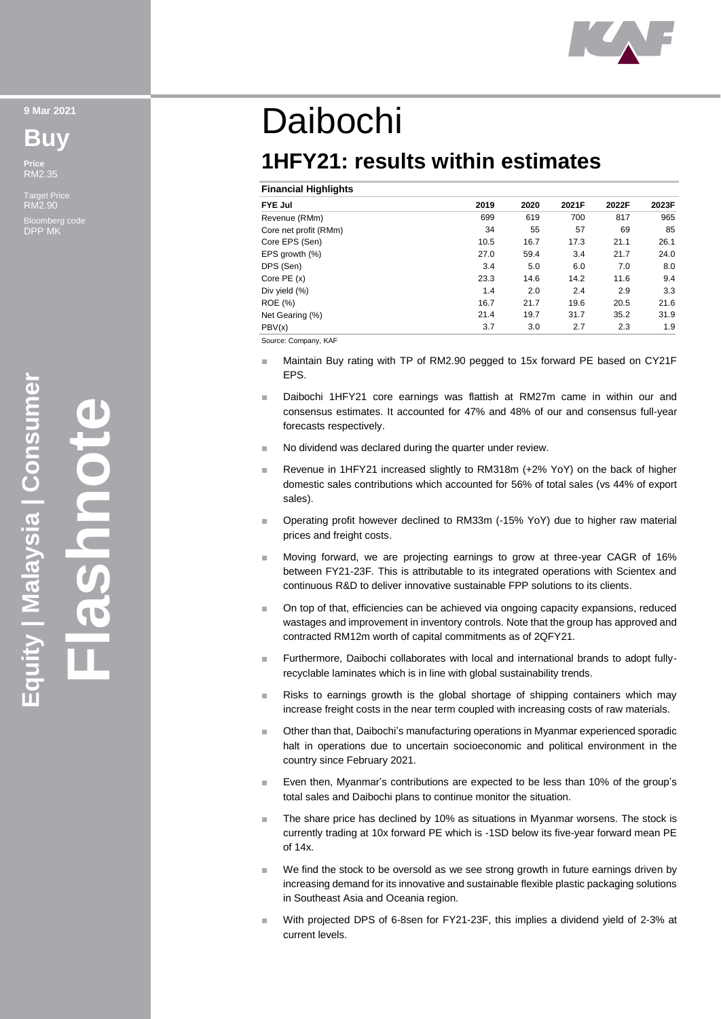

**9 Mar 2021**

**Buy**

**Price** RM2.35

Target Price RM2.90 Bloomberg code DPP MK

# Daibochi

## **1HFY21: results within estimates**

#### **Financial Highlights**

| <b>FYE Jul</b>        | 2019 | 2020 | 2021F | 2022F | 2023F |
|-----------------------|------|------|-------|-------|-------|
| Revenue (RMm)         | 699  | 619  | 700   | 817   | 965   |
| Core net profit (RMm) | 34   | 55   | 57    | 69    | 85    |
| Core EPS (Sen)        | 10.5 | 16.7 | 17.3  | 21.1  | 26.1  |
| EPS growth $(\%)$     | 27.0 | 59.4 | 3.4   | 21.7  | 24.0  |
| DPS (Sen)             | 3.4  | 5.0  | 6.0   | 7.0   | 8.0   |
| Core $PE(x)$          | 23.3 | 14.6 | 14.2  | 11.6  | 9.4   |
| Div yield (%)         | 1.4  | 2.0  | 2.4   | 2.9   | 3.3   |
| ROE (%)               | 16.7 | 21.7 | 19.6  | 20.5  | 21.6  |
| Net Gearing (%)       | 21.4 | 19.7 | 31.7  | 35.2  | 31.9  |
| PBV(x)                | 3.7  | 3.0  | 2.7   | 2.3   | 1.9   |

Source: Company, KAF

- Maintain Buy rating with TP of RM2.90 pegged to 15x forward PE based on CY21F EPS.
- Daibochi 1HFY21 core earnings was flattish at RM27m came in within our and consensus estimates. It accounted for 47% and 48% of our and consensus full-year forecasts respectively .
- No dividend was declared during the quarter under review.
- Revenue in 1HFY21 increased slightly to RM318m (+2% YoY) on the back of higher domestic sales contributions which accounted for 56% of total sales (vs 44% of export sales).
- Operating profit however declined to RM33m ( -15% YoY) due to higher raw material prices and freight costs.
- Moving forward, we are projecting earnings to grow at three -year CAGR of 16% between FY21 -23F. This is attributable to its integrated operations with Scientex and continuous R&D to deliver innovative sustainable FPP solutions to its clients.
- O n top of that, efficiencies can be achieved via ongoing capacity expansions, reduced wastages and improvement in inventory controls. Note that the group has approved and contracted RM12m worth of capital commitments as of 2QFY21.
- Furthermore, Daibochi collaborates with local and international brands to adopt fullyrecyclable laminates which is in line with global sustainability trends.
- Risks to earnings growth is the global shortage of shipping containers which may increase freight costs in the near term coupled with increasing costs of raw materials.
- Other than that, Daibochi 's manufacturing operations in Myanmar experienced sporadic halt in operations due to uncertain socioeconomic and political environment in the country since February 2021.
- Even then, Myanmar 's contributions are expected to be less than 10% of the group 's total sales and Daibochi plans to continue monitor the situation.
- The share price has declined by 10% as situations in Myanmar worsens. The stock is currently trading at 10x forward PE which is -1SD below its five -year forward mean PE of 14x.
- We find the stock to be oversold as we see strong growth in future earnings driven by increasing demand for its innovative and sustainable flexible plastic packaging solutions in Southeast Asia and Oceania region.
- With projected DPS of 6-8sen for FY21-23F, this implies a dividend yield of 2-3% at current levels.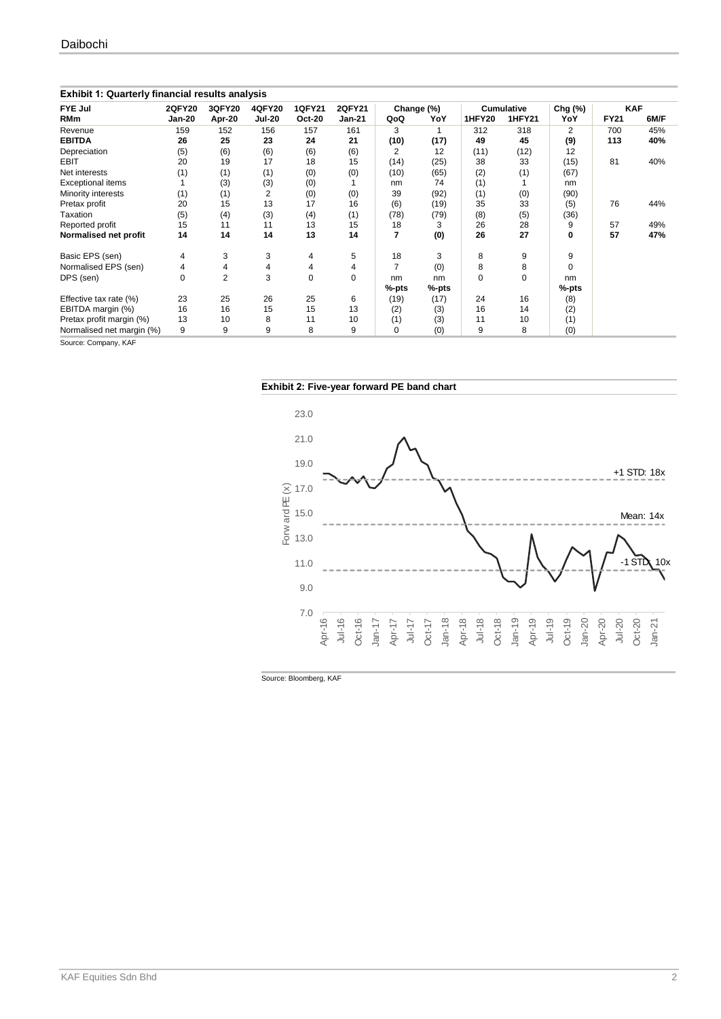| <b>Exhibit 1: Quarterly financial results analysis</b> |               |        |               |               |               |            |          |                   |               |          |             |      |
|--------------------------------------------------------|---------------|--------|---------------|---------------|---------------|------------|----------|-------------------|---------------|----------|-------------|------|
| FYE Jul                                                | <b>2QFY20</b> | 3QFY20 | <b>4QFY20</b> | <b>1QFY21</b> | <b>2QFY21</b> | Change (%) |          | <b>Cumulative</b> |               | Chg (%)  | <b>KAF</b>  |      |
| <b>RMm</b>                                             | <b>Jan-20</b> | Apr-20 | <b>Jul-20</b> | <b>Oct-20</b> | <b>Jan-21</b> | QoQ        | YoY      | <b>1HFY20</b>     | <b>1HFY21</b> | YoY      | <b>FY21</b> | 6M/F |
| Revenue                                                | 159           | 152    | 156           | 157           | 161           | 3          |          | 312               | 318           | 2        | 700         | 45%  |
| <b>EBITDA</b>                                          | 26            | 25     | 23            | 24            | 21            | (10)       | (17)     | 49                | 45            | (9)      | 113         | 40%  |
| Depreciation                                           | (5)           | (6)    | (6)           | (6)           | (6)           | 2          | 12       | (11)              | (12)          | 12       |             |      |
| EBIT                                                   | 20            | 19     | 17            | 18            | 15            | (14)       | (25)     | 38                | 33            | (15)     | 81          | 40%  |
| Net interests                                          | (1)           | (1)    | (1)           | (0)           | (0)           | (10)       | (65)     | (2)               | (1)           | (67)     |             |      |
| Exceptional items                                      |               | (3)    | (3)           | (0)           |               | nm         | 74       | (1)               |               | nm       |             |      |
| Minority interests                                     | (1)           | (1)    | 2             | (0)           | (0)           | 39         | (92)     | (1)               | (0)           | (90)     |             |      |
| Pretax profit                                          | 20            | 15     | 13            | 17            | 16            | (6)        | (19)     | 35                | 33            | (5)      | 76          | 44%  |
| Taxation                                               | (5)           | (4)    | (3)           | (4)           | (1)           | (78)       | (79)     | (8)               | (5)           | (36)     |             |      |
| Reported profit                                        | 15            | 11     | 11            | 13            | 15            | 18         | 3        | 26                | 28            | 9        | 57          | 49%  |
| Normalised net profit                                  | 14            | 14     | 14            | 13            | 14            | 7          | (0)      | 26                | 27            | 0        | 57          | 47%  |
| Basic EPS (sen)                                        | 4             | 3      | 3             | 4             | 5             | 18         | 3        | 8                 | 9             | 9        |             |      |
| Normalised EPS (sen)                                   | 4             | 4      | 4             | 4             | 4             | 7          | (0)      | 8                 | 8             | $\Omega$ |             |      |
| DPS (sen)                                              | 0             | 2      | 3             | 0             | $\Omega$      | nm         | nm       | $\Omega$          | 0             | nm       |             |      |
|                                                        |               |        |               |               |               | %-pts      | $%$ -pts |                   |               | $%$ -pts |             |      |
| Effective tax rate (%)                                 | 23            | 25     | 26            | 25            | 6             | (19)       | (17)     | 24                | 16            | (8)      |             |      |
| EBITDA margin (%)                                      | 16            | 16     | 15            | 15            | 13            | (2)        | (3)      | 16                | 14            | (2)      |             |      |
| Pretax profit margin (%)                               | 13            | 10     | 8             | 11            | 10            | (1)        | (3)      | 11                | 10            | (1)      |             |      |
| Normalised net margin (%)                              | 9             | 9      | 9             | 8             | 9             | $\Omega$   | (0)      | 9                 | 8             | (0)      |             |      |

Source: Company, KAF





Source: Bloomberg, KAF